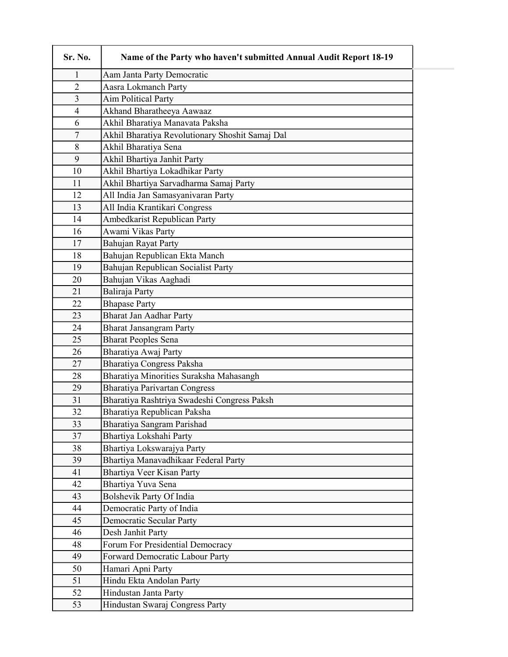| Sr. No.        | Name of the Party who haven't submitted Annual Audit Report 18-19 |
|----------------|-------------------------------------------------------------------|
| 1              | Aam Janta Party Democratic                                        |
| $\overline{2}$ | Aasra Lokmanch Party                                              |
| 3              | <b>Aim Political Party</b>                                        |
| 4              | Akhand Bharatheeya Aawaaz                                         |
| 6              | Akhil Bharatiya Manavata Paksha                                   |
| 7              | Akhil Bharatiya Revolutionary Shoshit Samaj Dal                   |
| 8              | Akhil Bharatiya Sena                                              |
| 9              | Akhil Bhartiya Janhit Party                                       |
| 10             | Akhil Bhartiya Lokadhikar Party                                   |
| 11             | Akhil Bhartiya Sarvadharma Samaj Party                            |
| 12             | All India Jan Samasyanivaran Party                                |
| 13             | All India Krantikari Congress                                     |
| 14             | Ambedkarist Republican Party                                      |
| 16             | Awami Vikas Party                                                 |
| 17             | Bahujan Rayat Party                                               |
| 18             | Bahujan Republican Ekta Manch                                     |
| 19             | Bahujan Republican Socialist Party                                |
| 20             | Bahujan Vikas Aaghadi                                             |
| 21             | Baliraja Party                                                    |
| 22             | <b>Bhapase Party</b>                                              |
| 23             | Bharat Jan Aadhar Party                                           |
| 24             | <b>Bharat Jansangram Party</b>                                    |
| 25             | <b>Bharat Peoples Sena</b>                                        |
| 26             | Bharatiya Awaj Party                                              |
| 27             | Bharatiya Congress Paksha                                         |
| 28             | Bharatiya Minorities Suraksha Mahasangh                           |
| 29             | <b>Bharatiya Parivartan Congress</b>                              |
| 31             | Bharatiya Rashtriya Swadeshi Congress Paksh                       |
| 32             | Bharatiya Republican Paksha                                       |
| 33             | Bharatiya Sangram Parishad                                        |
| 37             | Bhartiya Lokshahi Party                                           |
| 38             | Bhartiya Lokswarajya Party                                        |
| 39             | Bhartiya Manavadhikaar Federal Party                              |
| 41             | Bhartiya Veer Kisan Party                                         |
| 42             | Bhartiya Yuva Sena                                                |
| 43             | <b>Bolshevik Party Of India</b>                                   |
| 44             | Democratic Party of India                                         |
| 45             | <b>Democratic Secular Party</b>                                   |
| 46             | Desh Janhit Party                                                 |
| 48             | Forum For Presidential Democracy                                  |
| 49             | Forward Democratic Labour Party                                   |
| 50             | Hamari Apni Party                                                 |
| 51             | Hindu Ekta Andolan Party                                          |
| 52             | Hindustan Janta Party                                             |
| 53             | Hindustan Swaraj Congress Party                                   |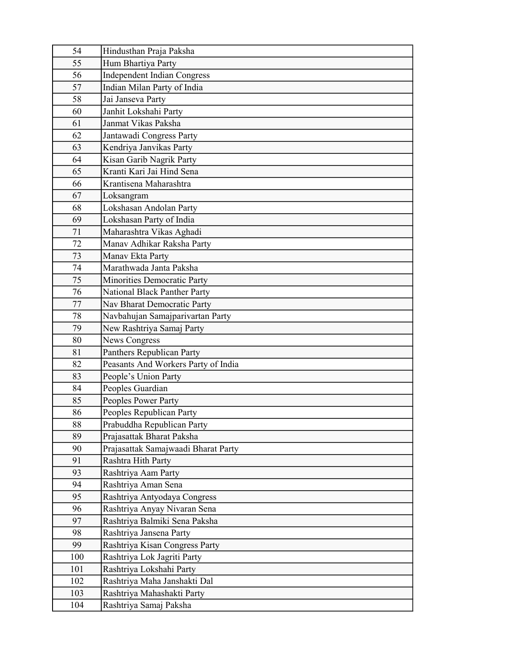| 54         | Hindusthan Praja Paksha             |
|------------|-------------------------------------|
| 55         | Hum Bhartiya Party                  |
| 56         | <b>Independent Indian Congress</b>  |
| 57         | Indian Milan Party of India         |
| 58         | Jai Janseva Party                   |
| 60         | Janhit Lokshahi Party               |
| 61         | Janmat Vikas Paksha                 |
| 62         | Jantawadi Congress Party            |
| 63         | Kendriya Janvikas Party             |
| 64         | Kisan Garib Nagrik Party            |
| 65         | Kranti Kari Jai Hind Sena           |
| 66         | Krantisena Maharashtra              |
| 67         | Loksangram                          |
| 68         | Lokshasan Andolan Party             |
| 69         | Lokshasan Party of India            |
| 71         | Maharashtra Vikas Aghadi            |
| 72         | Manav Adhikar Raksha Party          |
| 73         | Manav Ekta Party                    |
| 74         | Marathwada Janta Paksha             |
| 75         | Minorities Democratic Party         |
| 76         | National Black Panther Party        |
| 77         | Nav Bharat Democratic Party         |
| 78         | Navbahujan Samajparivartan Party    |
| 79         | New Rashtriya Samaj Party           |
| 80         | <b>News Congress</b>                |
| 81         | Panthers Republican Party           |
| 82         | Peasants And Workers Party of India |
| 83         | People's Union Party                |
| 84         | Peoples Guardian                    |
| 85         | Peoples Power Party                 |
| 86         | Peoples Republican Party            |
| 88         | Prabuddha Republican Party          |
| 89         | Prajasattak Bharat Paksha           |
| 90         | Prajasattak Samajwaadi Bharat Party |
| 91         | Rashtra Hith Party                  |
| 93         | Rashtriya Aam Party                 |
| 94         | Rashtriya Aman Sena                 |
| 95         | Rashtriya Antyodaya Congress        |
| 96         | Rashtriya Anyay Nivaran Sena        |
| 97         | Rashtriya Balmiki Sena Paksha       |
| 98         | Rashtriya Jansena Party             |
| 99         | Rashtriya Kisan Congress Party      |
| 100        | Rashtriya Lok Jagriti Party         |
| 101<br>102 | Rashtriya Lokshahi Party            |
|            | Rashtriya Maha Janshakti Dal        |
| 103        | Rashtriya Mahashakti Party          |
| 104        | Rashtriya Samaj Paksha              |